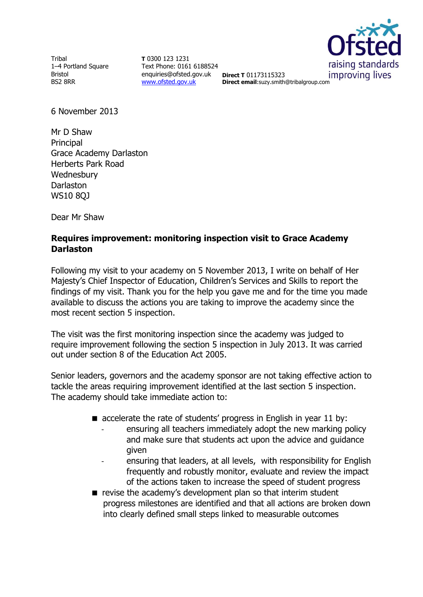Tribal 1–4 Portland Square Bristol BS2 8RR

**T** 0300 123 1231 Text Phone: 0161 6188524 enquiries@ofsted.gov.uk **Direct T** 01173115323 [www.ofsted.gov.uk](http://www.ofsted.gov.uk/)



**Direct email**:suzy.smith@tribalgroup.com

6 November 2013

Mr D Shaw Principal Grace Academy Darlaston Herberts Park Road **Wednesbury Darlaston** WS10 8QJ

Dear Mr Shaw

### **Requires improvement: monitoring inspection visit to Grace Academy Darlaston**

Following my visit to your academy on 5 November 2013, I write on behalf of Her Majesty's Chief Inspector of Education, Children's Services and Skills to report the findings of my visit. Thank you for the help you gave me and for the time you made available to discuss the actions you are taking to improve the academy since the most recent section 5 inspection.

The visit was the first monitoring inspection since the academy was judged to require improvement following the section 5 inspection in July 2013. It was carried out under section 8 of the Education Act 2005.

Senior leaders, governors and the academy sponsor are not taking effective action to tackle the areas requiring improvement identified at the last section 5 inspection. The academy should take immediate action to:

- $\blacksquare$  accelerate the rate of students' progress in English in year 11 by:
	- ensuring all teachers immediately adopt the new marking policy and make sure that students act upon the advice and guidance given
	- ensuring that leaders, at all levels, with responsibility for English frequently and robustly monitor, evaluate and review the impact of the actions taken to increase the speed of student progress
- revise the academy's development plan so that interim student progress milestones are identified and that all actions are broken down into clearly defined small steps linked to measurable outcomes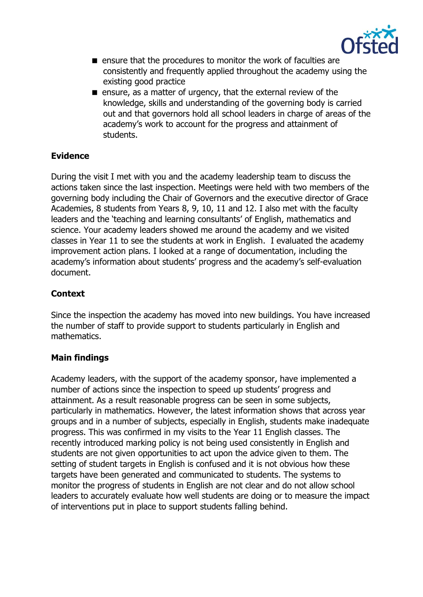

- **E** ensure that the procedures to monitor the work of faculties are consistently and frequently applied throughout the academy using the existing good practice
- ensure, as a matter of urgency, that the external review of the knowledge, skills and understanding of the governing body is carried out and that governors hold all school leaders in charge of areas of the academy's work to account for the progress and attainment of students.

# **Evidence**

During the visit I met with you and the academy leadership team to discuss the actions taken since the last inspection. Meetings were held with two members of the governing body including the Chair of Governors and the executive director of Grace Academies, 8 students from Years 8, 9, 10, 11 and 12. I also met with the faculty leaders and the 'teaching and learning consultants' of English, mathematics and science. Your academy leaders showed me around the academy and we visited classes in Year 11 to see the students at work in English. I evaluated the academy improvement action plans. I looked at a range of documentation, including the academy's information about students' progress and the academy's self-evaluation document.

# **Context**

Since the inspection the academy has moved into new buildings. You have increased the number of staff to provide support to students particularly in English and mathematics.

# **Main findings**

Academy leaders, with the support of the academy sponsor, have implemented a number of actions since the inspection to speed up students' progress and attainment. As a result reasonable progress can be seen in some subjects, particularly in mathematics. However, the latest information shows that across year groups and in a number of subjects, especially in English, students make inadequate progress. This was confirmed in my visits to the Year 11 English classes. The recently introduced marking policy is not being used consistently in English and students are not given opportunities to act upon the advice given to them. The setting of student targets in English is confused and it is not obvious how these targets have been generated and communicated to students. The systems to monitor the progress of students in English are not clear and do not allow school leaders to accurately evaluate how well students are doing or to measure the impact of interventions put in place to support students falling behind.